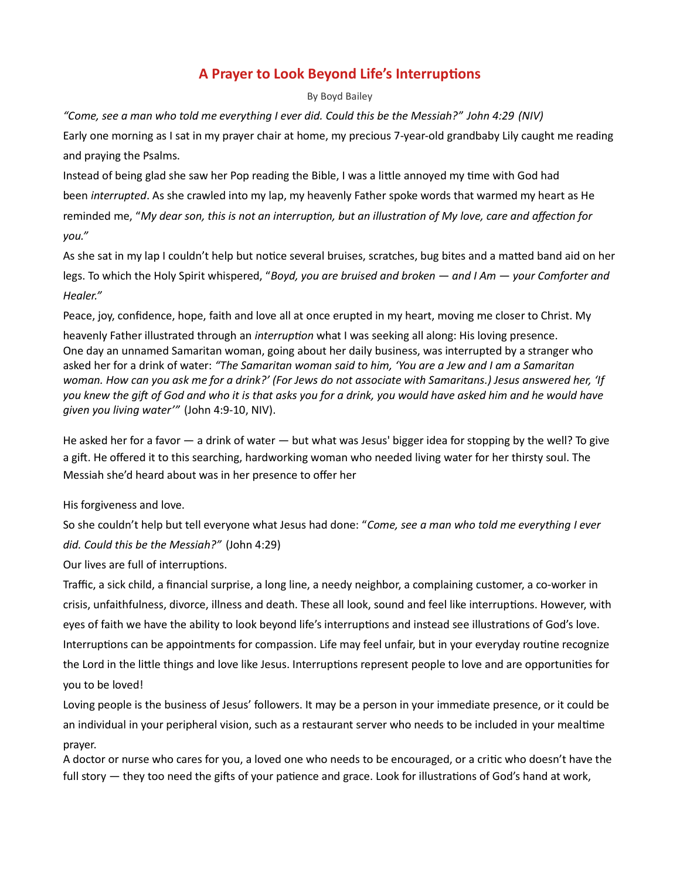## A Prayer to Look Beyond Life's Interruptions

By Boyd Bailey

"Come, see a man who told me everything I ever did. Could this be the Messiah?" John 4:29 (NIV) Early one morning as I sat in my prayer chair at home, my precious 7-year-old grandbaby Lily caught me reading and praying the Psalms.

Instead of being glad she saw her Pop reading the Bible, I was a little annoyed my time with God had been interrupted. As she crawled into my lap, my heavenly Father spoke words that warmed my heart as He reminded me, "My dear son, this is not an interruption, but an illustration of My love, care and affection for you."

As she sat in my lap I couldn't help but notice several bruises, scratches, bug bites and a matted band aid on her legs. To which the Holy Spirit whispered, "Boyd, you are bruised and broken — and I Am — your Comforter and Healer."

Peace, joy, confidence, hope, faith and love all at once erupted in my heart, moving me closer to Christ. My

heavenly Father illustrated through an interruption what I was seeking all along: His loving presence. One day an unnamed Samaritan woman, going about her daily business, was interrupted by a stranger who asked her for a drink of water: "The Samaritan woman said to him, 'You are a Jew and I am a Samaritan woman. How can you ask me for a drink?' (For Jews do not associate with Samaritans.) Jesus answered her, 'If you knew the gift of God and who it is that asks you for a drink, you would have asked him and he would have given you living water'" (John 4:9-10, NIV).

He asked her for a favor — a drink of water — but what was Jesus' bigger idea for stopping by the well? To give a gift. He offered it to this searching, hardworking woman who needed living water for her thirsty soul. The Messiah she'd heard about was in her presence to offer her

His forgiveness and love.

So she couldn't help but tell everyone what Jesus had done: "Come, see a man who told me everything I ever did. Could this be the Messiah?" (John 4:29)

Our lives are full of interruptions.

Traffic, a sick child, a financial surprise, a long line, a needy neighbor, a complaining customer, a co-worker in crisis, unfaithfulness, divorce, illness and death. These all look, sound and feel like interruptions. However, with eyes of faith we have the ability to look beyond life's interruptions and instead see illustrations of God's love. Interruptions can be appointments for compassion. Life may feel unfair, but in your everyday routine recognize the Lord in the little things and love like Jesus. Interruptions represent people to love and are opportunities for you to be loved!

Loving people is the business of Jesus' followers. It may be a person in your immediate presence, or it could be an individual in your peripheral vision, such as a restaurant server who needs to be included in your mealtime prayer.

A doctor or nurse who cares for you, a loved one who needs to be encouraged, or a critic who doesn't have the full story — they too need the gifts of your patience and grace. Look for illustrations of God's hand at work,